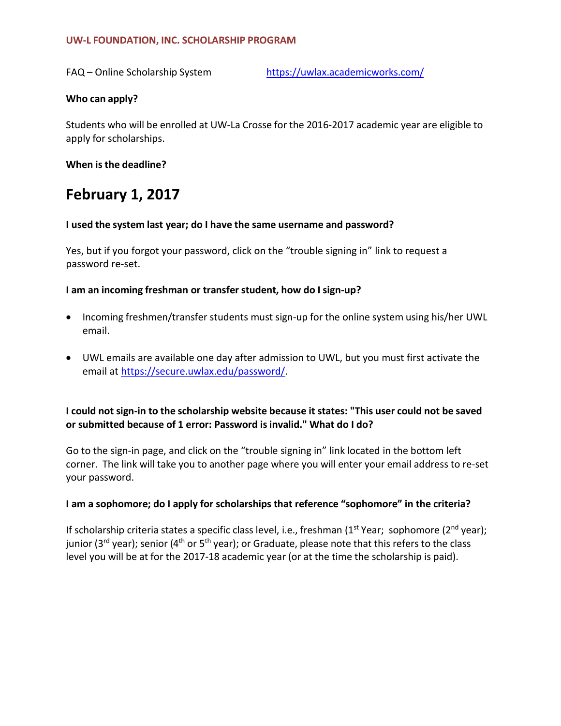#### **UW-L FOUNDATION, INC. SCHOLARSHIP PROGRAM**

FAQ – Online Scholarship System <https://uwlax.academicworks.com/>

### **Who can apply?**

Students who will be enrolled at UW-La Crosse for the 2016-2017 academic year are eligible to apply for scholarships.

**When is the deadline?**

# **February 1, 2017**

#### **I used the system last year; do I have the same username and password?**

Yes, but if you forgot your password, click on the "trouble signing in" link to request a password re-set.

## **I am an incoming freshman or transfer student, how do I sign-up?**

- Incoming freshmen/transfer students must sign-up for the online system using his/her UWL email.
- UWL emails are available one day after admission to UWL, but you must first activate the email at [https://secure.uwlax.edu/password/.](https://secure.uwlax.edu/password/)

## **I could not sign-in to the scholarship website because it states: "This user could not be saved or submitted because of 1 error: Password isinvalid." What do I do?**

Go to the sign-in page, and click on the "trouble signing in" link located in the bottom left corner. The link will take you to another page where you will enter your email address to re-set your password.

#### **I am a sophomore; do I apply for scholarships that reference "sophomore" in the criteria?**

If scholarship criteria states a specific class level, i.e., freshman (1<sup>st</sup> Year; sophomore (2<sup>nd</sup> year); junior (3<sup>rd</sup> year); senior (4<sup>th</sup> or 5<sup>th</sup> year); or Graduate, please note that this refers to the class level you will be at for the 2017-18 academic year (or at the time the scholarship is paid).